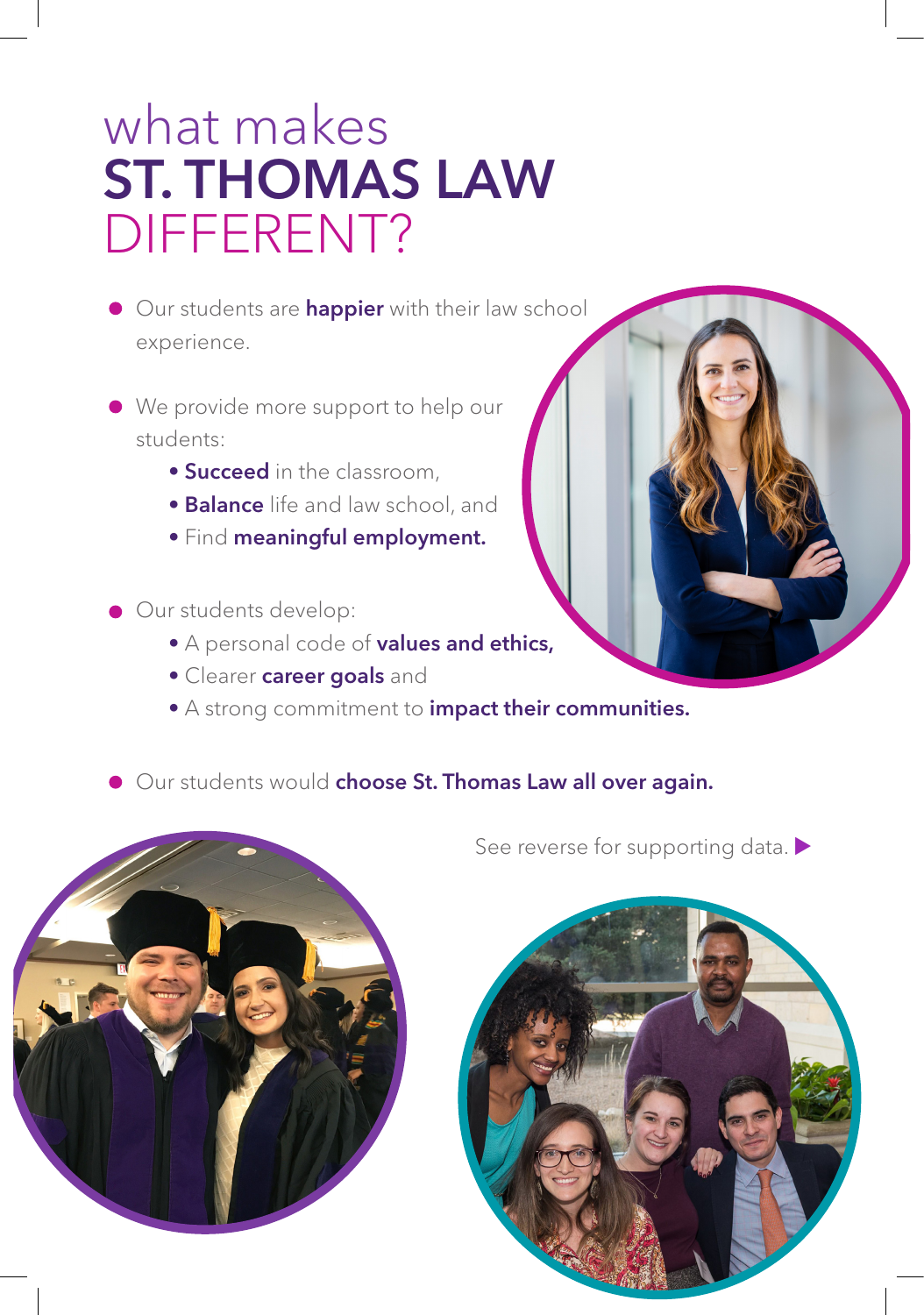## what makes ST. THOMAS LAW DIFFERENT?

- Our students are **happier** with their law school experience.
- We provide more support to help our students:
	- Succeed in the classroom,
	- **Balance** life and law school, and
	- Find meaningful employment.
- Our students develop:
	- A personal code of values and ethics,
	- Clearer career goals and
	- A strong commitment to *impact their communities.*
- **Our students would choose St. Thomas Law all over again.**



See reverse for supporting data.